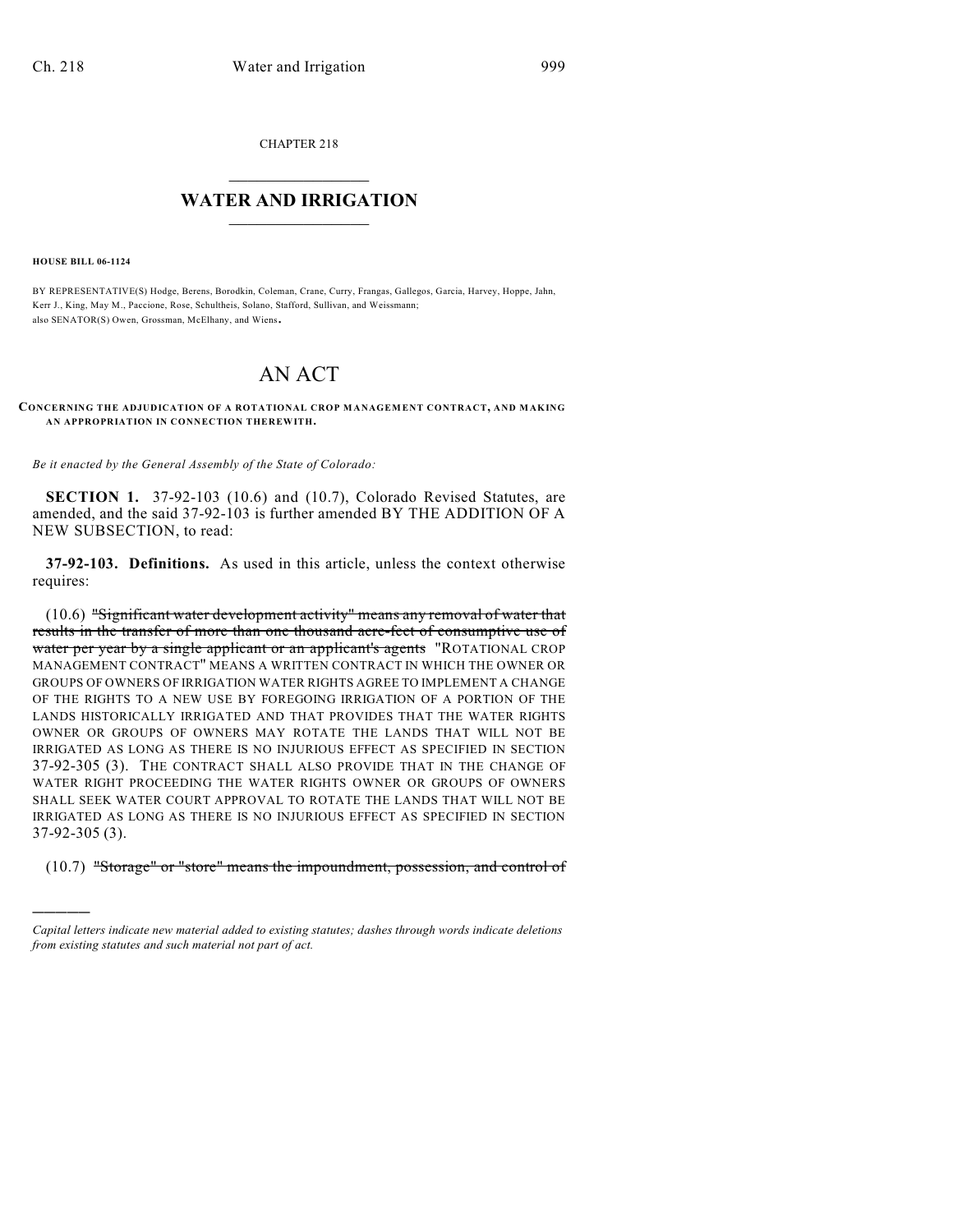CHAPTER 218

## $\overline{\phantom{a}}$  . The set of the set of the set of the set of the set of the set of the set of the set of the set of the set of the set of the set of the set of the set of the set of the set of the set of the set of the set o **WATER AND IRRIGATION**  $\_$   $\_$

**HOUSE BILL 06-1124**

)))))

BY REPRESENTATIVE(S) Hodge, Berens, Borodkin, Coleman, Crane, Curry, Frangas, Gallegos, Garcia, Harvey, Hoppe, Jahn, Kerr J., King, May M., Paccione, Rose, Schultheis, Solano, Stafford, Sullivan, and Weissmann; also SENATOR(S) Owen, Grossman, McElhany, and Wiens.

## AN ACT

**CONCERNING THE ADJUDICATION OF A ROTATIONAL CROP MANAGEMENT CONTRACT, AND MAKING AN APPROPRIATION IN CONNECTION THEREWITH.**

*Be it enacted by the General Assembly of the State of Colorado:*

**SECTION 1.** 37-92-103 (10.6) and (10.7), Colorado Revised Statutes, are amended, and the said 37-92-103 is further amended BY THE ADDITION OF A NEW SUBSECTION, to read:

**37-92-103. Definitions.** As used in this article, unless the context otherwise requires:

(10.6) "Significant water development activity" means any removal of water that results in the transfer of more than one thousand acre-feet of consumptive use of water per year by a single applicant or an applicant's agents "ROTATIONAL CROP MANAGEMENT CONTRACT" MEANS A WRITTEN CONTRACT IN WHICH THE OWNER OR GROUPS OF OWNERS OF IRRIGATION WATER RIGHTS AGREE TO IMPLEMENT A CHANGE OF THE RIGHTS TO A NEW USE BY FOREGOING IRRIGATION OF A PORTION OF THE LANDS HISTORICALLY IRRIGATED AND THAT PROVIDES THAT THE WATER RIGHTS OWNER OR GROUPS OF OWNERS MAY ROTATE THE LANDS THAT WILL NOT BE IRRIGATED AS LONG AS THERE IS NO INJURIOUS EFFECT AS SPECIFIED IN SECTION 37-92-305 (3). THE CONTRACT SHALL ALSO PROVIDE THAT IN THE CHANGE OF WATER RIGHT PROCEEDING THE WATER RIGHTS OWNER OR GROUPS OF OWNERS SHALL SEEK WATER COURT APPROVAL TO ROTATE THE LANDS THAT WILL NOT BE IRRIGATED AS LONG AS THERE IS NO INJURIOUS EFFECT AS SPECIFIED IN SECTION 37-92-305 (3).

(10.7) "Storage" or "store" means the impoundment, possession, and control of

*Capital letters indicate new material added to existing statutes; dashes through words indicate deletions from existing statutes and such material not part of act.*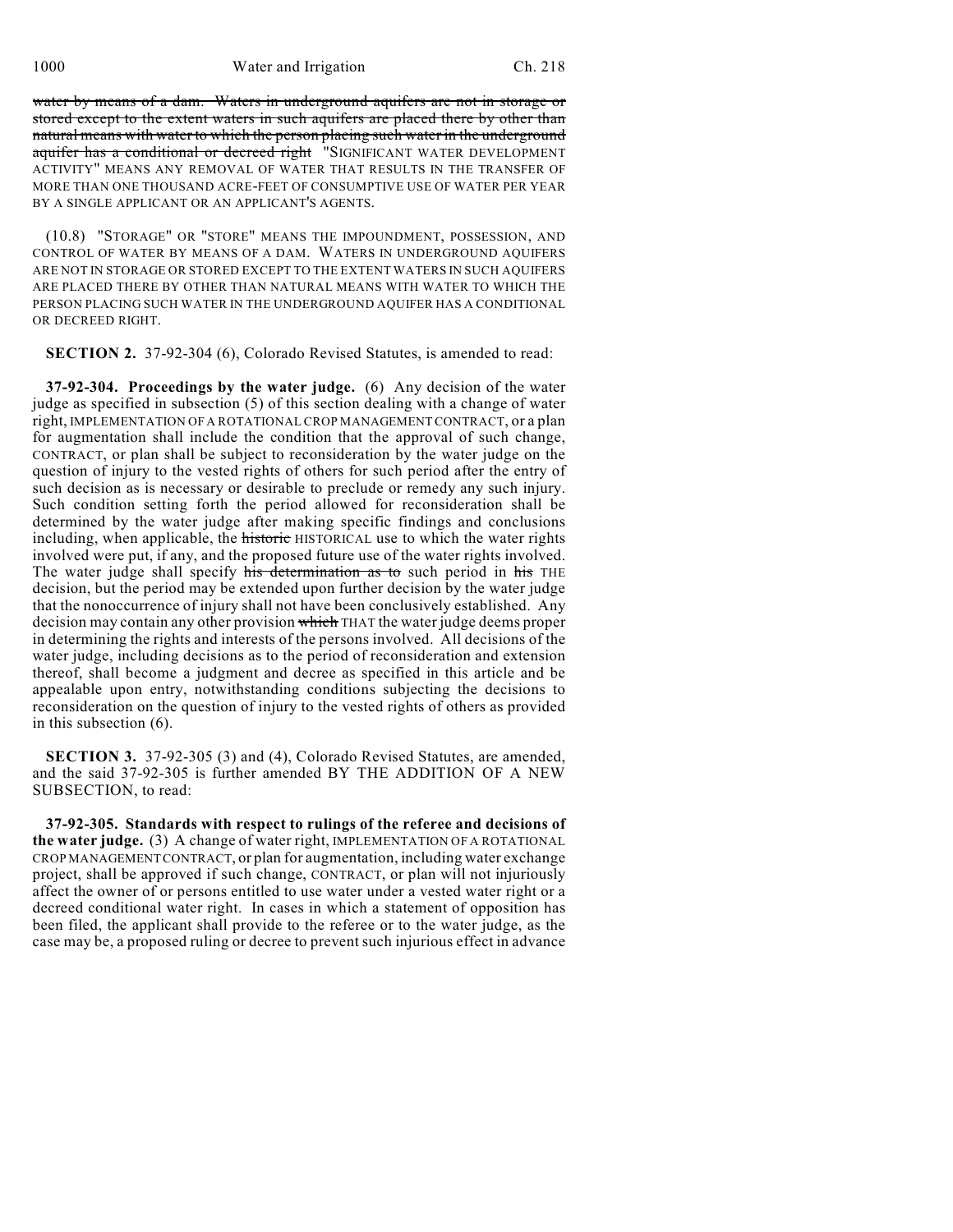water by means of a dam. Waters in underground aquifers are not in storage or stored except to the extent waters in such aquifers are placed there by other than natural means with water to which the person placing such water in the underground aquifer has a conditional or decreed right "SIGNIFICANT WATER DEVELOPMENT ACTIVITY" MEANS ANY REMOVAL OF WATER THAT RESULTS IN THE TRANSFER OF MORE THAN ONE THOUSAND ACRE-FEET OF CONSUMPTIVE USE OF WATER PER YEAR BY A SINGLE APPLICANT OR AN APPLICANT'S AGENTS.

(10.8) "STORAGE" OR "STORE" MEANS THE IMPOUNDMENT, POSSESSION, AND CONTROL OF WATER BY MEANS OF A DAM. WATERS IN UNDERGROUND AQUIFERS ARE NOT IN STORAGE OR STORED EXCEPT TO THE EXTENT WATERS IN SUCH AQUIFERS ARE PLACED THERE BY OTHER THAN NATURAL MEANS WITH WATER TO WHICH THE PERSON PLACING SUCH WATER IN THE UNDERGROUND AQUIFER HAS A CONDITIONAL OR DECREED RIGHT.

**SECTION 2.** 37-92-304 (6), Colorado Revised Statutes, is amended to read:

**37-92-304. Proceedings by the water judge.** (6) Any decision of the water judge as specified in subsection (5) of this section dealing with a change of water right, IMPLEMENTATION OF A ROTATIONAL CROP MANAGEMENT CONTRACT, or a plan for augmentation shall include the condition that the approval of such change, CONTRACT, or plan shall be subject to reconsideration by the water judge on the question of injury to the vested rights of others for such period after the entry of such decision as is necessary or desirable to preclude or remedy any such injury. Such condition setting forth the period allowed for reconsideration shall be determined by the water judge after making specific findings and conclusions including, when applicable, the historic HISTORICAL use to which the water rights involved were put, if any, and the proposed future use of the water rights involved. The water judge shall specify his determination as to such period in his THE decision, but the period may be extended upon further decision by the water judge that the nonoccurrence of injury shall not have been conclusively established. Any decision may contain any other provision which THAT the water judge deems proper in determining the rights and interests of the persons involved. All decisions of the water judge, including decisions as to the period of reconsideration and extension thereof, shall become a judgment and decree as specified in this article and be appealable upon entry, notwithstanding conditions subjecting the decisions to reconsideration on the question of injury to the vested rights of others as provided in this subsection (6).

**SECTION 3.** 37-92-305 (3) and (4), Colorado Revised Statutes, are amended, and the said 37-92-305 is further amended BY THE ADDITION OF A NEW SUBSECTION, to read:

**37-92-305. Standards with respect to rulings of the referee and decisions of the water judge.** (3) A change of water right, IMPLEMENTATION OF A ROTATIONAL CROP MANAGEMENT CONTRACT, or plan for augmentation, including water exchange project, shall be approved if such change, CONTRACT, or plan will not injuriously affect the owner of or persons entitled to use water under a vested water right or a decreed conditional water right. In cases in which a statement of opposition has been filed, the applicant shall provide to the referee or to the water judge, as the case may be, a proposed ruling or decree to prevent such injurious effect in advance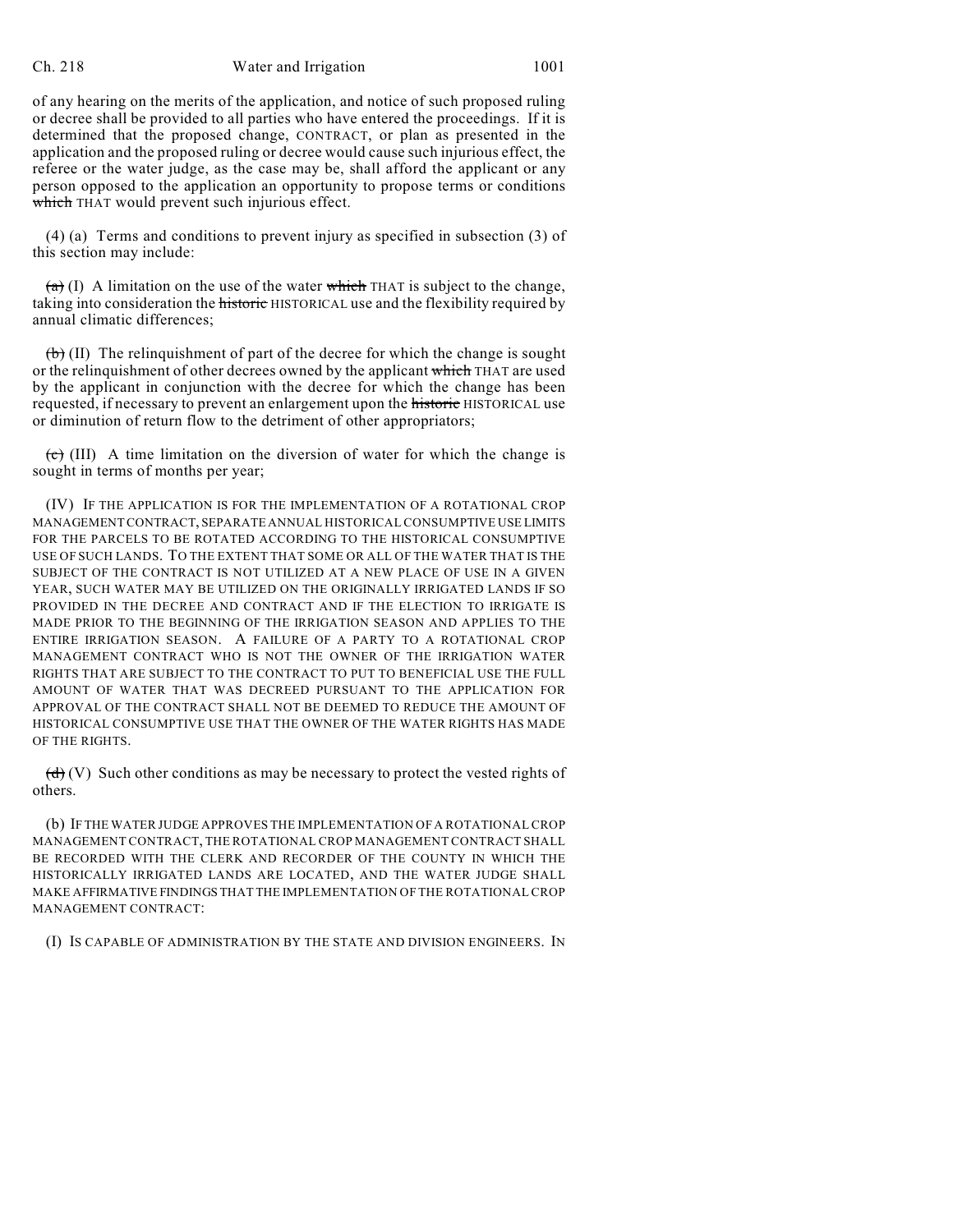## Ch. 218 Water and Irrigation 1001

of any hearing on the merits of the application, and notice of such proposed ruling or decree shall be provided to all parties who have entered the proceedings. If it is determined that the proposed change, CONTRACT, or plan as presented in the application and the proposed ruling or decree would cause such injurious effect, the referee or the water judge, as the case may be, shall afford the applicant or any person opposed to the application an opportunity to propose terms or conditions which THAT would prevent such injurious effect.

(4) (a) Terms and conditions to prevent injury as specified in subsection (3) of this section may include:

 $(a)$  (I) A limitation on the use of the water which THAT is subject to the change, taking into consideration the **historic** HISTORICAL use and the flexibility required by annual climatic differences;

 $(\theta)$  (II) The relinguishment of part of the decree for which the change is sought or the relinquishment of other decrees owned by the applicant which THAT are used by the applicant in conjunction with the decree for which the change has been requested, if necessary to prevent an enlargement upon the historic HISTORICAL use or diminution of return flow to the detriment of other appropriators;

 $\overline{(c)}$  (III) A time limitation on the diversion of water for which the change is sought in terms of months per year;

(IV) IF THE APPLICATION IS FOR THE IMPLEMENTATION OF A ROTATIONAL CROP MANAGEMENT CONTRACT, SEPARATE ANNUAL HISTORICAL CONSUMPTIVE USE LIMITS FOR THE PARCELS TO BE ROTATED ACCORDING TO THE HISTORICAL CONSUMPTIVE USE OF SUCH LANDS. TO THE EXTENT THAT SOME OR ALL OF THE WATER THAT IS THE SUBJECT OF THE CONTRACT IS NOT UTILIZED AT A NEW PLACE OF USE IN A GIVEN YEAR, SUCH WATER MAY BE UTILIZED ON THE ORIGINALLY IRRIGATED LANDS IF SO PROVIDED IN THE DECREE AND CONTRACT AND IF THE ELECTION TO IRRIGATE IS MADE PRIOR TO THE BEGINNING OF THE IRRIGATION SEASON AND APPLIES TO THE ENTIRE IRRIGATION SEASON. A FAILURE OF A PARTY TO A ROTATIONAL CROP MANAGEMENT CONTRACT WHO IS NOT THE OWNER OF THE IRRIGATION WATER RIGHTS THAT ARE SUBJECT TO THE CONTRACT TO PUT TO BENEFICIAL USE THE FULL AMOUNT OF WATER THAT WAS DECREED PURSUANT TO THE APPLICATION FOR APPROVAL OF THE CONTRACT SHALL NOT BE DEEMED TO REDUCE THE AMOUNT OF HISTORICAL CONSUMPTIVE USE THAT THE OWNER OF THE WATER RIGHTS HAS MADE OF THE RIGHTS.

 $(d)$  (V) Such other conditions as may be necessary to protect the vested rights of others.

(b) IF THE WATER JUDGE APPROVES THE IMPLEMENTATION OF A ROTATIONAL CROP MANAGEMENT CONTRACT, THE ROTATIONAL CROP MANAGEMENT CONTRACT SHALL BE RECORDED WITH THE CLERK AND RECORDER OF THE COUNTY IN WHICH THE HISTORICALLY IRRIGATED LANDS ARE LOCATED, AND THE WATER JUDGE SHALL MAKE AFFIRMATIVE FINDINGS THAT THE IMPLEMENTATION OF THE ROTATIONAL CROP MANAGEMENT CONTRACT:

(I) IS CAPABLE OF ADMINISTRATION BY THE STATE AND DIVISION ENGINEERS. IN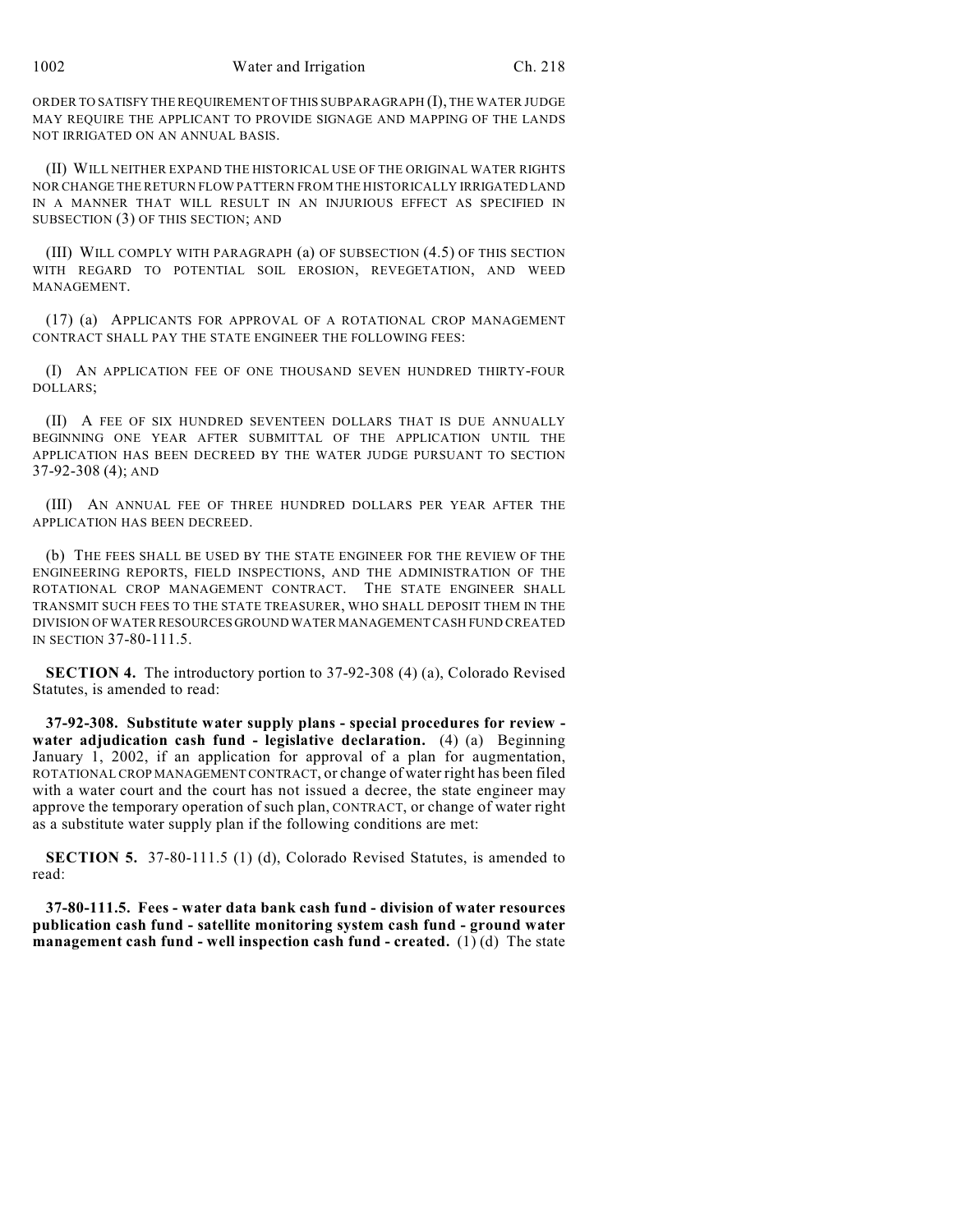ORDER TO SATISFY THE REQUIREMENT OF THIS SUBPARAGRAPH (I), THE WATER JUDGE MAY REQUIRE THE APPLICANT TO PROVIDE SIGNAGE AND MAPPING OF THE LANDS NOT IRRIGATED ON AN ANNUAL BASIS.

(II) WILL NEITHER EXPAND THE HISTORICAL USE OF THE ORIGINAL WATER RIGHTS NOR CHANGE THE RETURN FLOW PATTERN FROM THE HISTORICALLY IRRIGATED LAND IN A MANNER THAT WILL RESULT IN AN INJURIOUS EFFECT AS SPECIFIED IN SUBSECTION (3) OF THIS SECTION; AND

(III) WILL COMPLY WITH PARAGRAPH (a) OF SUBSECTION (4.5) OF THIS SECTION WITH REGARD TO POTENTIAL SOIL EROSION, REVEGETATION, AND WEED MANAGEMENT.

(17) (a) APPLICANTS FOR APPROVAL OF A ROTATIONAL CROP MANAGEMENT CONTRACT SHALL PAY THE STATE ENGINEER THE FOLLOWING FEES:

(I) AN APPLICATION FEE OF ONE THOUSAND SEVEN HUNDRED THIRTY-FOUR DOLLARS;

(II) A FEE OF SIX HUNDRED SEVENTEEN DOLLARS THAT IS DUE ANNUALLY BEGINNING ONE YEAR AFTER SUBMITTAL OF THE APPLICATION UNTIL THE APPLICATION HAS BEEN DECREED BY THE WATER JUDGE PURSUANT TO SECTION 37-92-308 (4); AND

(III) AN ANNUAL FEE OF THREE HUNDRED DOLLARS PER YEAR AFTER THE APPLICATION HAS BEEN DECREED.

(b) THE FEES SHALL BE USED BY THE STATE ENGINEER FOR THE REVIEW OF THE ENGINEERING REPORTS, FIELD INSPECTIONS, AND THE ADMINISTRATION OF THE ROTATIONAL CROP MANAGEMENT CONTRACT. THE STATE ENGINEER SHALL TRANSMIT SUCH FEES TO THE STATE TREASURER, WHO SHALL DEPOSIT THEM IN THE DIVISION OF WATER RESOURCES GROUND WATER MANAGEMENT CASH FUND CREATED IN SECTION 37-80-111.5.

**SECTION 4.** The introductory portion to 37-92-308 (4) (a), Colorado Revised Statutes, is amended to read:

**37-92-308. Substitute water supply plans - special procedures for review water adjudication cash fund - legislative declaration.** (4) (a) Beginning January 1, 2002, if an application for approval of a plan for augmentation, ROTATIONAL CROP MANAGEMENT CONTRACT, or change of water right has been filed with a water court and the court has not issued a decree, the state engineer may approve the temporary operation of such plan, CONTRACT, or change of water right as a substitute water supply plan if the following conditions are met:

**SECTION 5.** 37-80-111.5 (1) (d), Colorado Revised Statutes, is amended to read:

**37-80-111.5. Fees - water data bank cash fund - division of water resources publication cash fund - satellite monitoring system cash fund - ground water management cash fund - well inspection cash fund - created.** (1) (d) The state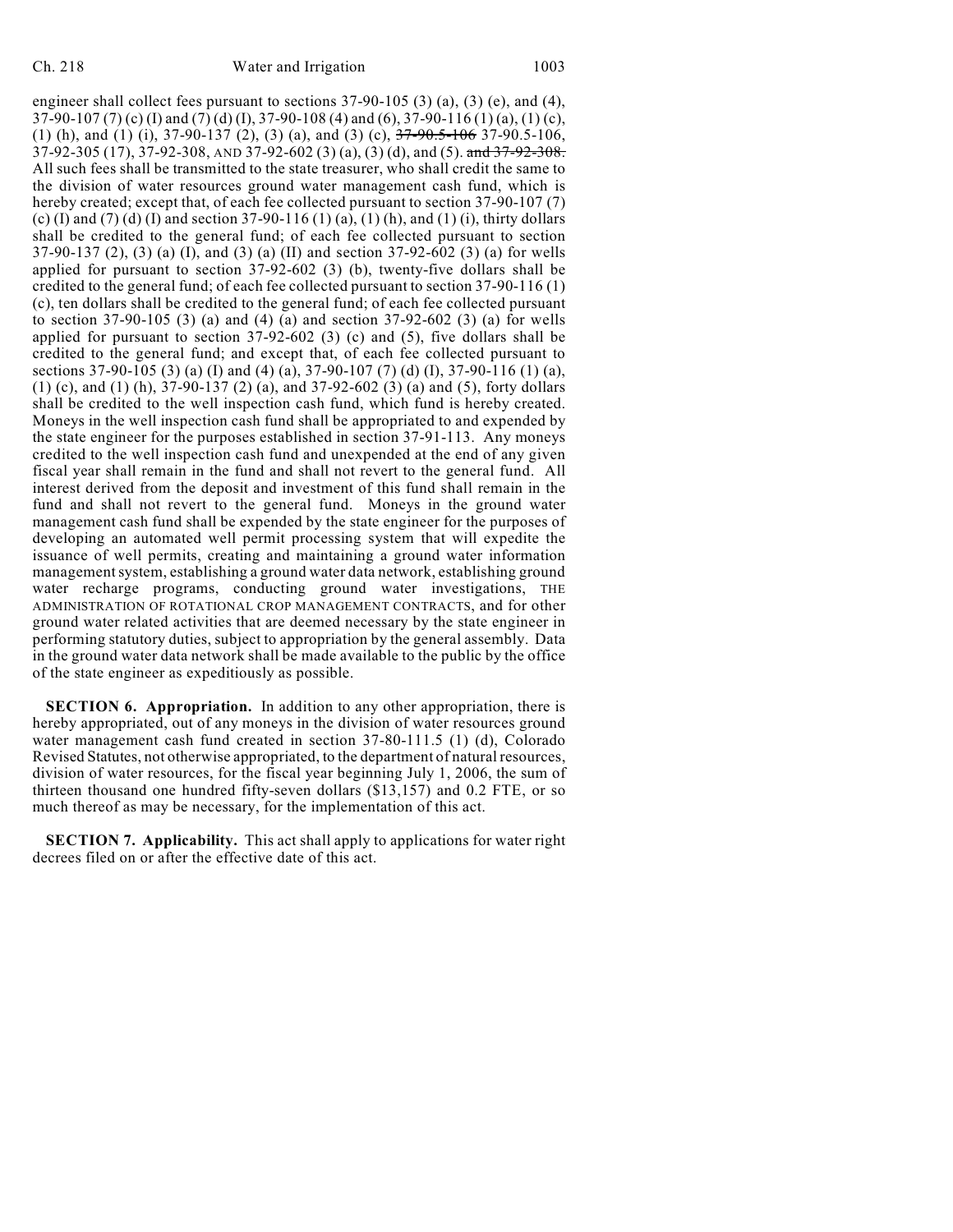engineer shall collect fees pursuant to sections 37-90-105 (3) (a), (3) (e), and (4), 37-90-107 (7) (c) (I) and (7) (d) (I), 37-90-108 (4) and (6), 37-90-116 (1) (a), (1) (c), (1) (h), and (1) (i),  $37-90-137$  (2), (3) (a), and (3) (c),  $37-90.5-106$ ,  $37-90.5-106$ , 37-92-305 (17), 37-92-308, AND 37-92-602 (3) (a), (3) (d), and (5). and 37-92-308. All such fees shall be transmitted to the state treasurer, who shall credit the same to the division of water resources ground water management cash fund, which is hereby created; except that, of each fee collected pursuant to section 37-90-107 (7) (c) (I) and (7) (d) (I) and section 37-90-116 (1) (a), (1) (h), and (1) (i), thirty dollars shall be credited to the general fund; of each fee collected pursuant to section 37-90-137 (2), (3) (a) (I), and (3) (a) (II) and section 37-92-602 (3) (a) for wells applied for pursuant to section 37-92-602 (3) (b), twenty-five dollars shall be credited to the general fund; of each fee collected pursuant to section 37-90-116 (1) (c), ten dollars shall be credited to the general fund; of each fee collected pursuant to section 37-90-105 (3) (a) and (4) (a) and section 37-92-602 (3) (a) for wells applied for pursuant to section  $37-92-602$  (3) (c) and (5), five dollars shall be credited to the general fund; and except that, of each fee collected pursuant to sections 37-90-105 (3) (a) (I) and (4) (a), 37-90-107 (7) (d) (I), 37-90-116 (1) (a), (1) (c), and (1) (h), 37-90-137 (2) (a), and 37-92-602 (3) (a) and (5), forty dollars shall be credited to the well inspection cash fund, which fund is hereby created. Moneys in the well inspection cash fund shall be appropriated to and expended by the state engineer for the purposes established in section 37-91-113. Any moneys credited to the well inspection cash fund and unexpended at the end of any given fiscal year shall remain in the fund and shall not revert to the general fund. All interest derived from the deposit and investment of this fund shall remain in the fund and shall not revert to the general fund. Moneys in the ground water management cash fund shall be expended by the state engineer for the purposes of developing an automated well permit processing system that will expedite the issuance of well permits, creating and maintaining a ground water information management system, establishing a ground water data network, establishing ground water recharge programs, conducting ground water investigations, THE ADMINISTRATION OF ROTATIONAL CROP MANAGEMENT CONTRACTS, and for other ground water related activities that are deemed necessary by the state engineer in performing statutory duties, subject to appropriation by the general assembly. Data in the ground water data network shall be made available to the public by the office of the state engineer as expeditiously as possible.

**SECTION 6. Appropriation.** In addition to any other appropriation, there is hereby appropriated, out of any moneys in the division of water resources ground water management cash fund created in section 37-80-111.5 (1) (d), Colorado Revised Statutes, not otherwise appropriated, to the department of natural resources, division of water resources, for the fiscal year beginning July 1, 2006, the sum of thirteen thousand one hundred fifty-seven dollars (\$13,157) and 0.2 FTE, or so much thereof as may be necessary, for the implementation of this act.

**SECTION 7. Applicability.** This act shall apply to applications for water right decrees filed on or after the effective date of this act.